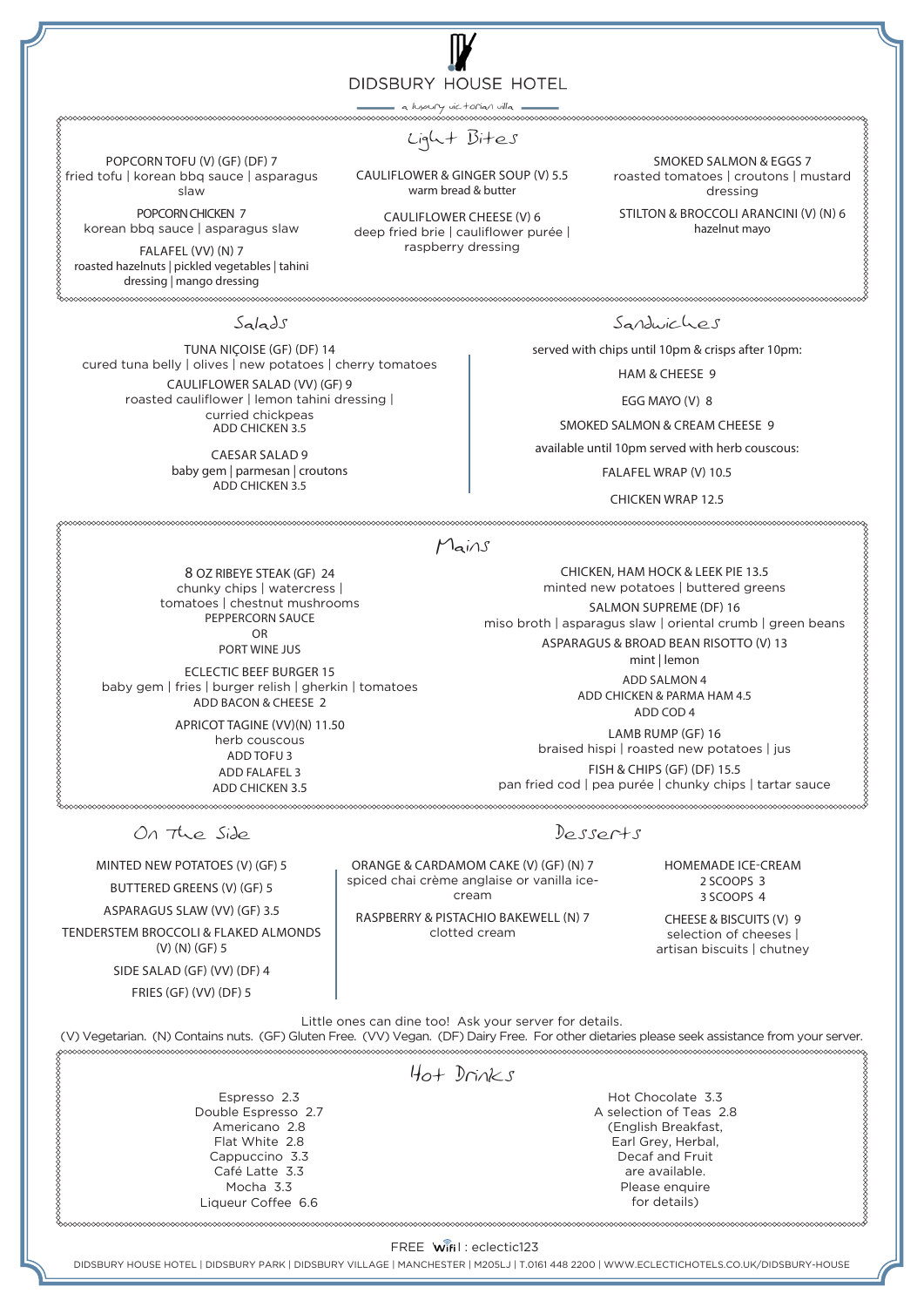DIDSBURY HOUSE HOTEL a luxury victorian villa 

Light Bites

CAULIFLOWER & GINGER SOUP (V) 5.5 warm bread & butter fried tofu | korean bbq sauce | asparagus

> CAULIFLOWER CHEESE (V) 6 deep fried brie | cauliflower purée | raspberry dressing

SMOKED SALMON & EGGS 7 roasted tomatoes | croutons | mustard dressing

STILTON & BROCCOLI ARANCINI (V) (N) 6 hazelnut mayo

korean bbq sauce | asparagus slaw FALAFEL (VV) (N) 7 roasted hazelnuts | pickled vegetables | tahini

POPCORN TOFU (V) (GF) (DF) 7

slaw POPCORN CHICKEN 7

dressing | mango dressing 

Salads

TUNA NIÇOISE (GF) (DF) 14 cured tuna belly | olives | new potatoes | cherry tomatoes CAULIFLOWER SALAD (VV) (GF) 9 roasted cauliflower | lemon tahini dressing | curried chickpeas ADD CHICKEN 3.5

> CAESAR SALAD 9 baby gem | parmesan | croutons ADD CHICKEN 3.5

Sandwiches

served with chips until 10pm & crisps after 10pm:

HAM & CHEESE 9

EGG MAYO (V) 8

SMOKED SALMON & CREAM CHEESE 9

available until 10pm served with herb couscous:

FALAFEL WRAP (V) 10.5

CHICKEN WRAP 12.5

CHICKEN, HAM HOCK & LEEK PIE 13.5 minted new potatoes | buttered greens SALMON SUPREME (DF) 16 miso broth | asparagus slaw | oriental crumb | green beans ASPARAGUS & BROAD BEAN RISOTTO (V) 13 mint | lemon ADD SALMON 4 ADD CHICKEN & PARMA HAM 4.5 ADD COD 4 LAMB RUMP (GF) 16 braised hispi | roasted new potatoes | jus FISH & CHIPS (GF) (DF) 15.5

## Mains

8 OZ RIBEYE STEAK (GF) 24 chunky chips | watercress | tomatoes | chestnut mushrooms PEPPERCORN SAUCE OR

PORT WINE JUS

ECLECTIC BEEF BURGER 15 baby gem | fries | burger relish | gherkin | tomatoes ADD BACON & CHEESE 2

> APRICOT TAGINE (VV)(N) 11.50 herb couscous ADD TOFU 3 ADD FALAFEL 3 ADD CHICKEN 3.5

pan fried cod | pea purée | chunky chips | tartar sauce 

> HOMEMADE ICE-CREAM 2 SCOOPS 3

3 SCOOPS 4 CHEESE & BISCUITS (V) 9

selection of cheeses | artisan biscuits | chutney

Little ones can dine too! Ask your server for details.

(V) Vegetarian. (N) Contains nuts. (GF) Gluten Free. (VV) Vegan. (DF) Dairy Free. For other dietaries please seek assistance from your server.

| >>>>>>>>>>>>>>>>>>>>>> |                                 |
|------------------------|---------------------------------|
|                        | $H_{0} + D_{\Gamma}N_{\Gamma}S$ |
| Espresso 2.3           | Hot Chocolate 3.3               |
| Double Espresso 2.7    | A selection of Teas 2.8         |
| Americano 2.8          | (English Breakfast,             |
| Flat White 2.8         | Earl Grey, Herbal,              |
| Cappuccino 3.3         | Decaf and Fruit                 |
| Café Latte 3.3         | are available.                  |
| Mocha 3.3              | Please enquire                  |
| Ligueur Coffee 6.6     | for details)                    |

## FREE Wifil: eclectic123

DIDSBURY HOUSE HOTEL | DIDSBURY PARK | DIDSBURY VILLAGE | MANCHESTER | M205LJ | T.0161 448 2200 | WWW.ECLECTICHOTELS.CO.UK/DIDSBURY-HOUSE

MINTED NEW POTATOES (V) (GF) 5 BUTTERED GREENS (V) (GF) 5 ASPARAGUS SLAW (VV) (GF) 3.5 TENDERSTEM BROCCOLI & FLAKED ALMONDS (V) (N) (GF) 5 SIDE SALAD (GF) (VV) (DF) 4

On The Side

FRIES (GF) (VV) (DF) 5

Desserts

ORANGE & CARDAMOM CAKE (V) (GF) (N) 7 spiced chai crème anglaise or vanilla icecream

RASPBERRY & PISTACHIO BAKEWELL (N) 7 clotted cream